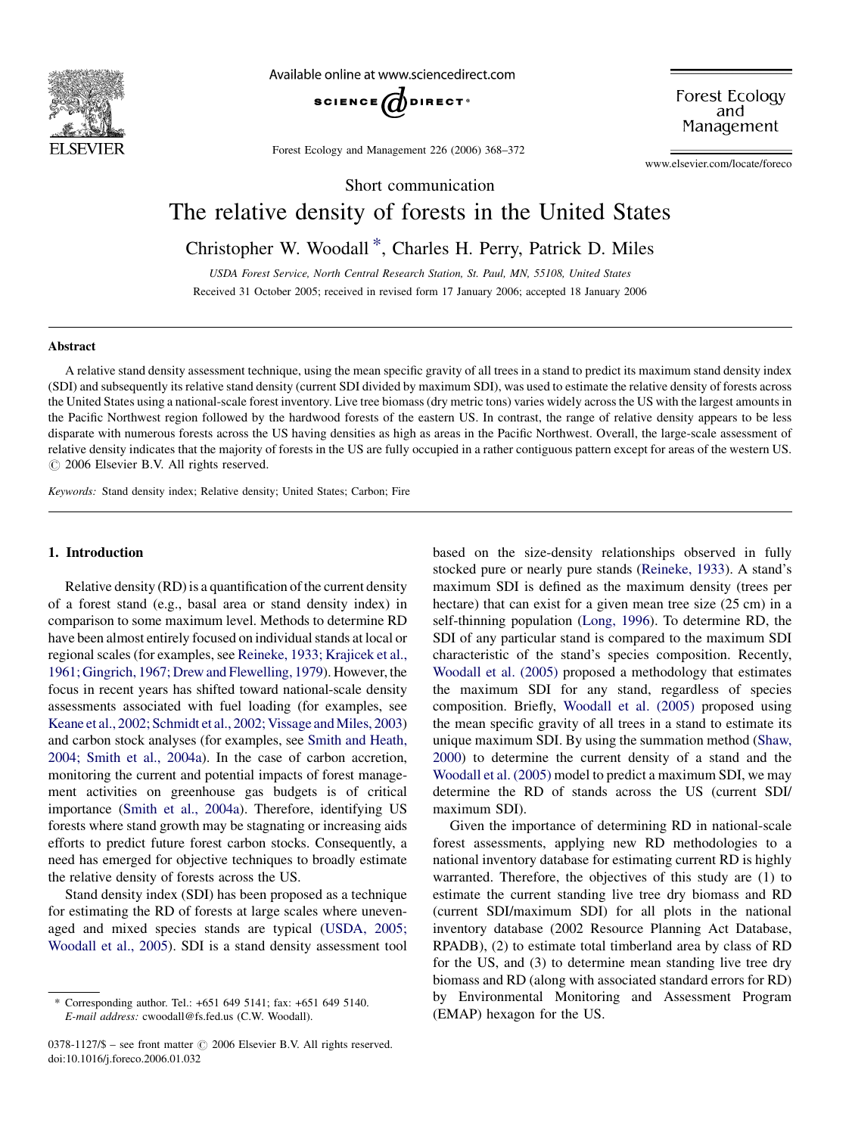

Available online at www.sciencedirect.com



Forest Ecology and Management 226 (2006) 368–372

Forest Ecology and Management

www.elsevier.com/locate/foreco

# Short communication

# The relative density of forests in the United States

Christopher W. Woodall \*, Charles H. Perry, Patrick D. Miles

USDA Forest Service, North Central Research Station, St. Paul, MN, 55108, United States Received 31 October 2005; received in revised form 17 January 2006; accepted 18 January 2006

#### Abstract

A relative stand density assessment technique, using the mean specific gravity of all trees in a stand to predict its maximum stand density index (SDI) and subsequently its relative stand density (current SDI divided by maximum SDI), was used to estimate the relative density of forests across the United States using a national-scale forest inventory. Live tree biomass (dry metric tons) varies widely across the US with the largest amounts in the Pacific Northwest region followed by the hardwood forests of the eastern US. In contrast, the range of relative density appears to be less disparate with numerous forests across the US having densities as high as areas in the Pacific Northwest. Overall, the large-scale assessment of relative density indicates that the majority of forests in the US are fully occupied in a rather contiguous pattern except for areas of the western US.  $\odot$  2006 Elsevier B.V. All rights reserved.

Keywords: Stand density index; Relative density; United States; Carbon; Fire

#### 1. Introduction

Relative density (RD) is a quantification of the current density of a forest stand (e.g., basal area or stand density index) in comparison to some maximum level. Methods to determine RD have been almost entirely focused on individual stands at local or regional scales (for examples, see [Reineke, 1933; Krajicek et al.,](#page-3-0) [1961; Gingrich, 1967; Drew and Flewelling, 1979\)](#page-3-0). However, the focus in recent years has shifted toward national-scale density assessments associated with fuel loading (for examples, see Keane et al., 2002; Schmidt et al., 2002; Vissage and Miles, 2003) and carbon stock analyses (for examples, see [Smith and Heath,](#page-3-0) [2004; Smith et al., 2004a](#page-3-0)). In the case of carbon accretion, monitoring the current and potential impacts of forest management activities on greenhouse gas budgets is of critical importance [\(Smith et al., 2004a](#page-3-0)). Therefore, identifying US forests where stand growth may be stagnating or increasing aids efforts to predict future forest carbon stocks. Consequently, a need has emerged for objective techniques to broadly estimate the relative density of forests across the US.

Stand density index (SDI) has been proposed as a technique for estimating the RD of forests at large scales where unevenaged and mixed species stands are typical [\(USDA, 2005;](#page-4-0) [Woodall et al., 2005](#page-4-0)). SDI is a stand density assessment tool

 $0378-1127/\$$  – see front matter  $\odot$  2006 Elsevier B.V. All rights reserved. doi:10.1016/j.foreco.2006.01.032

based on the size-density relationships observed in fully stocked pure or nearly pure stands ([Reineke, 1933\)](#page-3-0). A stand's maximum SDI is defined as the maximum density (trees per hectare) that can exist for a given mean tree size (25 cm) in a self-thinning population [\(Long, 1996](#page-3-0)). To determine RD, the SDI of any particular stand is compared to the maximum SDI characteristic of the stand's species composition. Recently, [Woodall et al. \(2005\)](#page-4-0) proposed a methodology that estimates the maximum SDI for any stand, regardless of species composition. Briefly, [Woodall et al. \(2005\)](#page-4-0) proposed using the mean specific gravity of all trees in a stand to estimate its unique maximum SDI. By using the summation method ([Shaw,](#page-3-0) [2000\)](#page-3-0) to determine the current density of a stand and the [Woodall et al. \(2005\)](#page-4-0) model to predict a maximum SDI, we may determine the RD of stands across the US (current SDI/ maximum SDI).

Given the importance of determining RD in national-scale forest assessments, applying new RD methodologies to a national inventory database for estimating current RD is highly warranted. Therefore, the objectives of this study are (1) to estimate the current standing live tree dry biomass and RD (current SDI/maximum SDI) for all plots in the national inventory database (2002 Resource Planning Act Database, RPADB), (2) to estimate total timberland area by class of RD for the US, and (3) to determine mean standing live tree dry biomass and RD (along with associated standard errors for RD) by Environmental Monitoring and Assessment Program (EMAP) hexagon for the US.

<sup>\*</sup> Corresponding author. Tel.: +651 649 5141; fax: +651 649 5140. E-mail address: cwoodall@fs.fed.us (C.W. Woodall).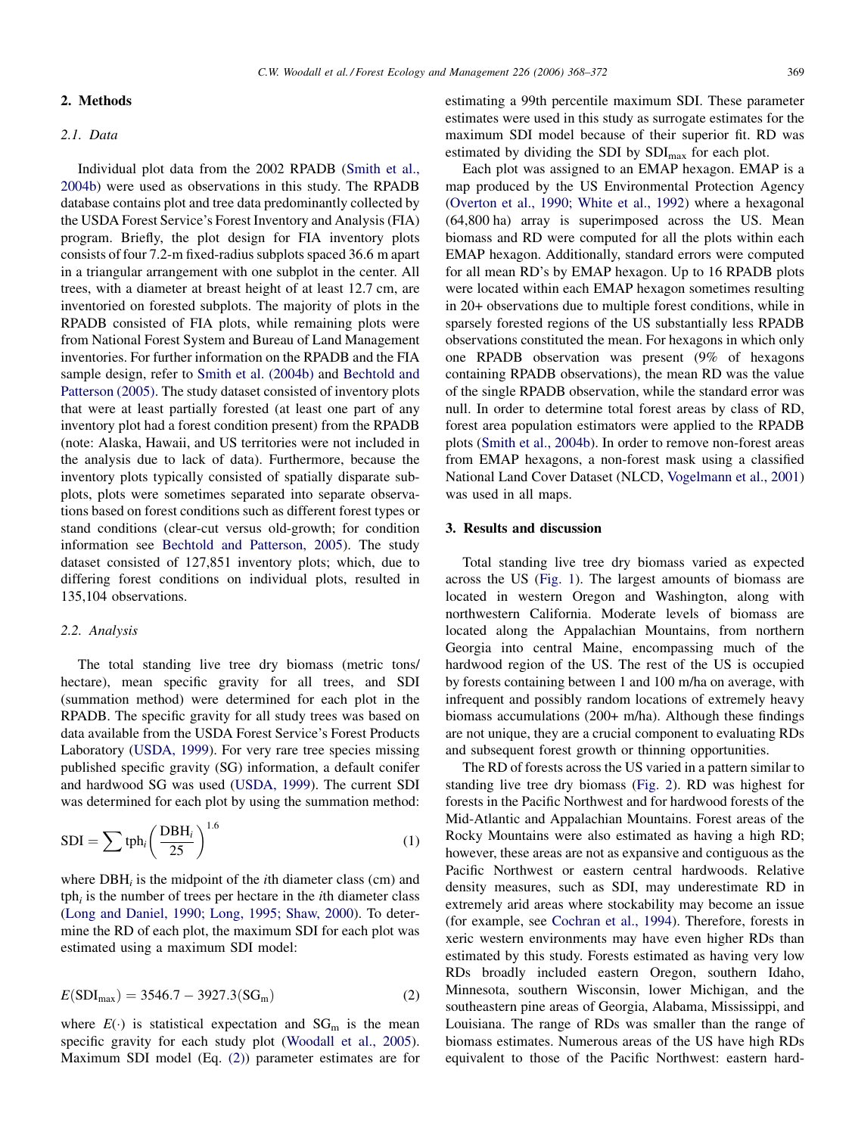## 2. Methods

# 2.1. Data

Individual plot data from the 2002 RPADB [\(Smith et al.,](#page-3-0) [2004b](#page-3-0)) were used as observations in this study. The RPADB database contains plot and tree data predominantly collected by the USDA Forest Service's Forest Inventory and Analysis (FIA) program. Briefly, the plot design for FIA inventory plots consists of four 7.2-m fixed-radius subplots spaced 36.6 m apart in a triangular arrangement with one subplot in the center. All trees, with a diameter at breast height of at least 12.7 cm, are inventoried on forested subplots. The majority of plots in the RPADB consisted of FIA plots, while remaining plots were from National Forest System and Bureau of Land Management inventories. For further information on the RPADB and the FIA sample design, refer to [Smith et al. \(2004b\)](#page-3-0) and [Bechtold and](#page-3-0) [Patterson \(2005\)](#page-3-0). The study dataset consisted of inventory plots that were at least partially forested (at least one part of any inventory plot had a forest condition present) from the RPADB (note: Alaska, Hawaii, and US territories were not included in the analysis due to lack of data). Furthermore, because the inventory plots typically consisted of spatially disparate subplots, plots were sometimes separated into separate observations based on forest conditions such as different forest types or stand conditions (clear-cut versus old-growth; for condition information see [Bechtold and Patterson, 2005\)](#page-3-0). The study dataset consisted of 127,851 inventory plots; which, due to differing forest conditions on individual plots, resulted in 135,104 observations.

#### 2.2. Analysis

The total standing live tree dry biomass (metric tons/ hectare), mean specific gravity for all trees, and SDI (summation method) were determined for each plot in the RPADB. The specific gravity for all study trees was based on data available from the USDA Forest Service's Forest Products Laboratory ([USDA, 1999](#page-3-0)). For very rare tree species missing published specific gravity (SG) information, a default conifer and hardwood SG was used [\(USDA, 1999](#page-3-0)). The current SDI was determined for each plot by using the summation method:

$$
SDI = \sum tph_i \left(\frac{DBH_i}{25}\right)^{1.6}
$$
 (1)

where  $DBH_i$  is the midpoint of the *i*th diameter class (cm) and  $tph<sub>i</sub>$  is the number of trees per hectare in the *i*th diameter class ([Long and Daniel, 1990; Long, 1995; Shaw, 2000](#page-3-0)). To determine the RD of each plot, the maximum SDI for each plot was estimated using a maximum SDI model:

$$
E(SDI_{\text{max}}) = 3546.7 - 3927.3(SG_{\text{m}})
$$
 (2)

where  $E(\cdot)$  is statistical expectation and  $SG<sub>m</sub>$  is the mean specific gravity for each study plot [\(Woodall et al., 2005\)](#page-4-0). Maximum SDI model (Eq. (2)) parameter estimates are for estimating a 99th percentile maximum SDI. These parameter estimates were used in this study as surrogate estimates for the maximum SDI model because of their superior fit. RD was estimated by dividing the SDI by  $SDI_{max}$  for each plot.

Each plot was assigned to an EMAP hexagon. EMAP is a map produced by the US Environmental Protection Agency ([Overton et al., 1990; White et al., 1992\)](#page-3-0) where a hexagonal (64,800 ha) array is superimposed across the US. Mean biomass and RD were computed for all the plots within each EMAP hexagon. Additionally, standard errors were computed for all mean RD's by EMAP hexagon. Up to 16 RPADB plots were located within each EMAP hexagon sometimes resulting in 20+ observations due to multiple forest conditions, while in sparsely forested regions of the US substantially less RPADB observations constituted the mean. For hexagons in which only one RPADB observation was present (9% of hexagons containing RPADB observations), the mean RD was the value of the single RPADB observation, while the standard error was null. In order to determine total forest areas by class of RD, forest area population estimators were applied to the RPADB plots ([Smith et al., 2004b\)](#page-3-0). In order to remove non-forest areas from EMAP hexagons, a non-forest mask using a classified National Land Cover Dataset (NLCD, [Vogelmann et al., 2001](#page-4-0)) was used in all maps.

### 3. Results and discussion

Total standing live tree dry biomass varied as expected across the US [\(Fig. 1](#page-2-0)). The largest amounts of biomass are located in western Oregon and Washington, along with northwestern California. Moderate levels of biomass are located along the Appalachian Mountains, from northern Georgia into central Maine, encompassing much of the hardwood region of the US. The rest of the US is occupied by forests containing between 1 and 100 m/ha on average, with infrequent and possibly random locations of extremely heavy biomass accumulations (200+ m/ha). Although these findings are not unique, they are a crucial component to evaluating RDs and subsequent forest growth or thinning opportunities.

The RD of forests across the US varied in a pattern similar to standing live tree dry biomass [\(Fig. 2](#page-2-0)). RD was highest for forests in the Pacific Northwest and for hardwood forests of the Mid-Atlantic and Appalachian Mountains. Forest areas of the Rocky Mountains were also estimated as having a high RD; however, these areas are not as expansive and contiguous as the Pacific Northwest or eastern central hardwoods. Relative density measures, such as SDI, may underestimate RD in extremely arid areas where stockability may become an issue (for example, see [Cochran et al., 1994\)](#page-3-0). Therefore, forests in xeric western environments may have even higher RDs than estimated by this study. Forests estimated as having very low RDs broadly included eastern Oregon, southern Idaho, Minnesota, southern Wisconsin, lower Michigan, and the southeastern pine areas of Georgia, Alabama, Mississippi, and Louisiana. The range of RDs was smaller than the range of biomass estimates. Numerous areas of the US have high RDs equivalent to those of the Pacific Northwest: eastern hard-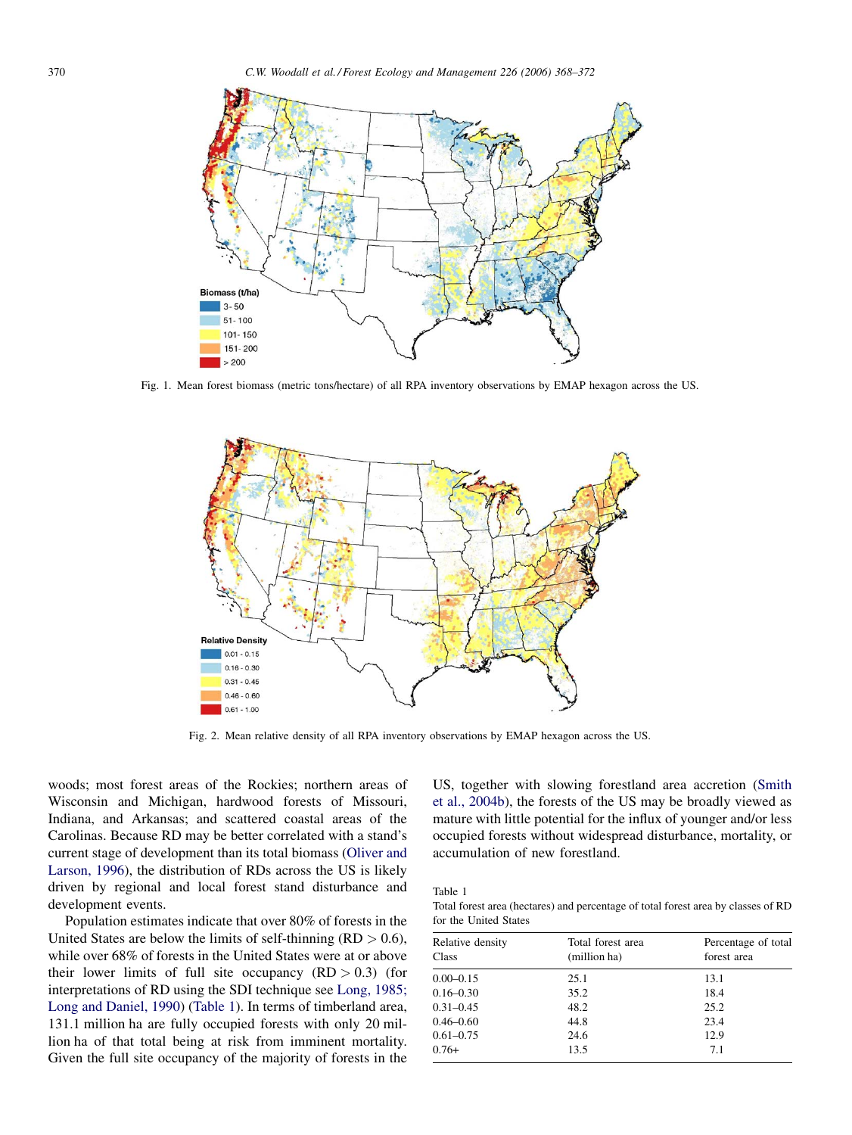<span id="page-2-0"></span>

Fig. 1. Mean forest biomass (metric tons/hectare) of all RPA inventory observations by EMAP hexagon across the US.



Fig. 2. Mean relative density of all RPA inventory observations by EMAP hexagon across the US.

woods; most forest areas of the Rockies; northern areas of Wisconsin and Michigan, hardwood forests of Missouri, Indiana, and Arkansas; and scattered coastal areas of the Carolinas. Because RD may be better correlated with a stand's current stage of development than its total biomass ([Oliver and](#page-3-0) [Larson, 1996](#page-3-0)), the distribution of RDs across the US is likely driven by regional and local forest stand disturbance and development events.

Population estimates indicate that over 80% of forests in the United States are below the limits of self-thinning  $(RD > 0.6)$ , while over 68% of forests in the United States were at or above their lower limits of full site occupancy  $(RD > 0.3)$  (for interpretations of RD using the SDI technique see [Long, 1985;](#page-3-0) [Long and Daniel, 1990\)](#page-3-0) (Table 1). In terms of timberland area, 131.1 million ha are fully occupied forests with only 20 million ha of that total being at risk from imminent mortality. Given the full site occupancy of the majority of forests in the US, together with slowing forestland area accretion ([Smith](#page-3-0) [et al., 2004b\)](#page-3-0), the forests of the US may be broadly viewed as mature with little potential for the influx of younger and/or less occupied forests without widespread disturbance, mortality, or accumulation of new forestland.

Table 1

Total forest area (hectares) and percentage of total forest area by classes of RD for the United States

| Relative density<br>Class | Total forest area<br>(million ha) | Percentage of total<br>forest area |
|---------------------------|-----------------------------------|------------------------------------|
| $0.00 - 0.15$             | 25.1                              | 13.1                               |
| $0.16 - 0.30$             | 35.2                              | 18.4                               |
| $0.31 - 0.45$             | 48.2                              | 25.2                               |
| $0.46 - 0.60$             | 44.8                              | 23.4                               |
| $0.61 - 0.75$             | 24.6                              | 12.9                               |
| $0.76+$                   | 13.5                              | 7.1                                |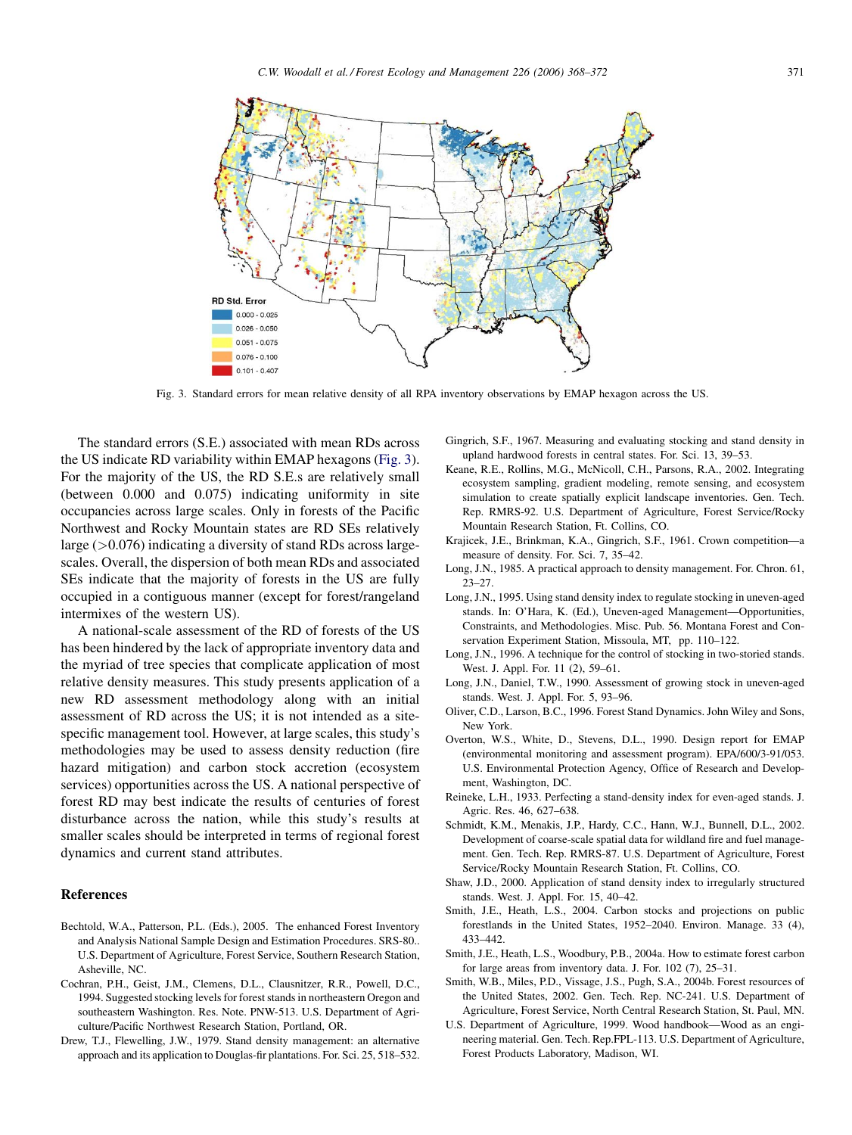<span id="page-3-0"></span>

Fig. 3. Standard errors for mean relative density of all RPA inventory observations by EMAP hexagon across the US.

The standard errors (S.E.) associated with mean RDs across the US indicate RD variability within EMAP hexagons (Fig. 3). For the majority of the US, the RD S.E.s are relatively small (between 0.000 and 0.075) indicating uniformity in site occupancies across large scales. Only in forests of the Pacific Northwest and Rocky Mountain states are RD SEs relatively large  $(>0.076)$  indicating a diversity of stand RDs across largescales. Overall, the dispersion of both mean RDs and associated SEs indicate that the majority of forests in the US are fully occupied in a contiguous manner (except for forest/rangeland intermixes of the western US).

A national-scale assessment of the RD of forests of the US has been hindered by the lack of appropriate inventory data and the myriad of tree species that complicate application of most relative density measures. This study presents application of a new RD assessment methodology along with an initial assessment of RD across the US; it is not intended as a sitespecific management tool. However, at large scales, this study's methodologies may be used to assess density reduction (fire hazard mitigation) and carbon stock accretion (ecosystem services) opportunities across the US. A national perspective of forest RD may best indicate the results of centuries of forest disturbance across the nation, while this study's results at smaller scales should be interpreted in terms of regional forest dynamics and current stand attributes.

# References

- Bechtold, W.A., Patterson, P.L. (Eds.), 2005. The enhanced Forest Inventory and Analysis National Sample Design and Estimation Procedures. SRS-80.. U.S. Department of Agriculture, Forest Service, Southern Research Station, Asheville, NC.
- Cochran, P.H., Geist, J.M., Clemens, D.L., Clausnitzer, R.R., Powell, D.C., 1994. Suggested stocking levels for forest stands in northeastern Oregon and southeastern Washington. Res. Note. PNW-513. U.S. Department of Agriculture/Pacific Northwest Research Station, Portland, OR.
- Drew, T.J., Flewelling, J.W., 1979. Stand density management: an alternative approach and its application to Douglas-fir plantations. For. Sci. 25, 518–532.
- Gingrich, S.F., 1967. Measuring and evaluating stocking and stand density in upland hardwood forests in central states. For. Sci. 13, 39–53.
- Keane, R.E., Rollins, M.G., McNicoll, C.H., Parsons, R.A., 2002. Integrating ecosystem sampling, gradient modeling, remote sensing, and ecosystem simulation to create spatially explicit landscape inventories. Gen. Tech. Rep. RMRS-92. U.S. Department of Agriculture, Forest Service/Rocky Mountain Research Station, Ft. Collins, CO.
- Krajicek, J.E., Brinkman, K.A., Gingrich, S.F., 1961. Crown competition—a measure of density. For. Sci. 7, 35–42.
- Long, J.N., 1985. A practical approach to density management. For. Chron. 61, 23–27.
- Long, J.N., 1995. Using stand density index to regulate stocking in uneven-aged stands. In: O'Hara, K. (Ed.), Uneven-aged Management—Opportunities, Constraints, and Methodologies. Misc. Pub. 56. Montana Forest and Conservation Experiment Station, Missoula, MT, pp. 110–122.
- Long, J.N., 1996. A technique for the control of stocking in two-storied stands. West. J. Appl. For. 11 (2), 59–61.
- Long, J.N., Daniel, T.W., 1990. Assessment of growing stock in uneven-aged stands. West. J. Appl. For. 5, 93–96.
- Oliver, C.D., Larson, B.C., 1996. Forest Stand Dynamics. John Wiley and Sons, New York.
- Overton, W.S., White, D., Stevens, D.L., 1990. Design report for EMAP (environmental monitoring and assessment program). EPA/600/3-91/053. U.S. Environmental Protection Agency, Office of Research and Development, Washington, DC.
- Reineke, L.H., 1933. Perfecting a stand-density index for even-aged stands. J. Agric. Res. 46, 627–638.
- Schmidt, K.M., Menakis, J.P., Hardy, C.C., Hann, W.J., Bunnell, D.L., 2002. Development of coarse-scale spatial data for wildland fire and fuel management. Gen. Tech. Rep. RMRS-87. U.S. Department of Agriculture, Forest Service/Rocky Mountain Research Station, Ft. Collins, CO.
- Shaw, J.D., 2000. Application of stand density index to irregularly structured stands. West. J. Appl. For. 15, 40–42.
- Smith, J.E., Heath, L.S., 2004. Carbon stocks and projections on public forestlands in the United States, 1952–2040. Environ. Manage. 33 (4), 433–442.
- Smith, J.E., Heath, L.S., Woodbury, P.B., 2004a. How to estimate forest carbon for large areas from inventory data. J. For. 102 (7), 25–31.
- Smith, W.B., Miles, P.D., Vissage, J.S., Pugh, S.A., 2004b. Forest resources of the United States, 2002. Gen. Tech. Rep. NC-241. U.S. Department of Agriculture, Forest Service, North Central Research Station, St. Paul, MN.
- U.S. Department of Agriculture, 1999. Wood handbook—Wood as an engineering material. Gen. Tech. Rep.FPL-113. U.S. Department of Agriculture, Forest Products Laboratory, Madison, WI.